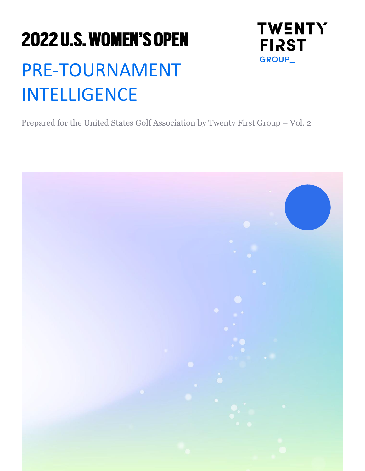# **2022 U.S. WOMEN'S OPEN** PRE-TOURNAMENT INTELLIGENCE

Prepared for the United States Golf Association by Twenty First Group – Vol. 2

**TWENTY** 

**FIRST** 

GROUP\_

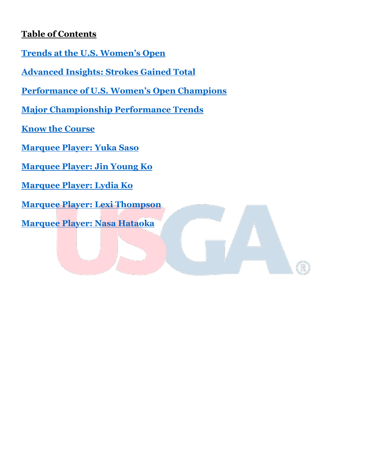# **Table of Contents**

- **[Trends at the U.S. Women's Open](#page-1-0)**
- **Advanced [Insights: Strokes Gained Total](#page-8-0)**
- **[Performance of U.S. Women's Open Champions](#page-11-0)**
- **[Major Championship Performance Trends](#page-13-0)**
- **[Know the Course](#page-15-0)**
- **[Marquee Player: Yuka Saso](#page-16-0)**
- **[Marquee Player: Jin Young Ko](#page-17-0)**
- **[Marquee Player: Lydia Ko](#page-18-0)**
- **[Marquee Player: Lexi Thompson](#page-19-0)**
- <span id="page-1-0"></span>**[Marquee Player: Nasa Hataoka](#page-20-0)**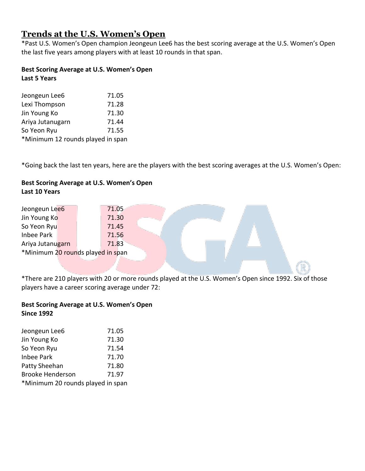# **Trends at the U.S. Women's Open**

\*Past U.S. Women's Open champion Jeongeun Lee6 has the best scoring average at the U.S. Women's Open the last five years among players with at least 10 rounds in that span.

#### **Best Scoring Average at U.S. Women's Open Last 5 Years**

| Jeongeun Lee6                     | 71.05 |
|-----------------------------------|-------|
| Lexi Thompson                     | 71.28 |
| Jin Young Ko                      | 71.30 |
| Ariya Jutanugarn                  | 71.44 |
| So Yeon Ryu                       | 71.55 |
| *Minimum 12 rounds played in span |       |

\*Going back the last ten years, here are the players with the best scoring averages at the U.S. Women's Open:

## **Best Scoring Average at U.S. Women's Open Last 10 Years**

| Jeongeun Lee6                     | 71.05 |  |  |  |
|-----------------------------------|-------|--|--|--|
| Jin Young Ko                      | 71.30 |  |  |  |
| So Yeon Ryu                       | 71.45 |  |  |  |
| Inbee Park                        | 71.56 |  |  |  |
| Ariya Jutanugarn                  | 71.83 |  |  |  |
| *Minimum 20 rounds played in span |       |  |  |  |
|                                   |       |  |  |  |

\*There are 210 players with 20 or more rounds played at the U.S. Women's Open since 1992. Six of those players have a career scoring average under 72:

## **Best Scoring Average at U.S. Women's Open Since 1992**

| Jeongeun Lee6                     | 71.05 |
|-----------------------------------|-------|
| Jin Young Ko                      | 71.30 |
| So Yeon Ryu                       | 71.54 |
| <b>Inbee Park</b>                 | 71.70 |
| Patty Sheehan                     | 71.80 |
| <b>Brooke Henderson</b>           | 71.97 |
| *Minimum 20 rounds played in span |       |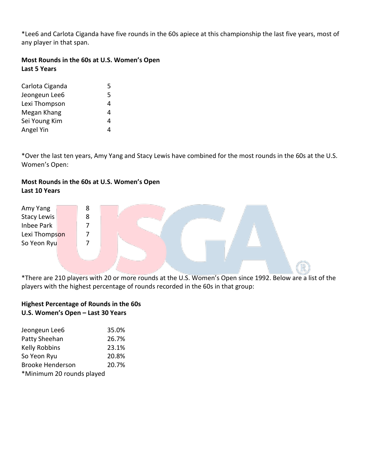\*Lee6 and Carlota Ciganda have five rounds in the 60s apiece at this championship the last five years, most of any player in that span.

## **Most Rounds in the 60s at U.S. Women's Open Last 5 Years**

| Carlota Ciganda | 5 |
|-----------------|---|
| Jeongeun Lee6   | 5 |
| Lexi Thompson   | 4 |
| Megan Khang     | 4 |
| Sei Young Kim   | 4 |
| Angel Yin       | 4 |

\*Over the last ten years, Amy Yang and Stacy Lewis have combined for the most rounds in the 60s at the U.S. Women's Open:

# **Most Rounds in the 60s at U.S. Women's Open Last 10 Years**

| Amy Yang           | 8 |  |  |  |  |
|--------------------|---|--|--|--|--|
| <b>Stacy Lewis</b> | 8 |  |  |  |  |
| Inbee Park         |   |  |  |  |  |
| Lexi Thompson      |   |  |  |  |  |
| So Yeon Ryu        |   |  |  |  |  |
|                    |   |  |  |  |  |
|                    |   |  |  |  |  |
|                    |   |  |  |  |  |

\*There are 210 players with 20 or more rounds at the U.S. Women's Open since 1992. Below are a list of the players with the highest percentage of rounds recorded in the 60s in that group:

## **Highest Percentage of Rounds in the 60s U.S. Women's Open – Last 30 Years**

| Jeongeun Lee6             | 35.0% |
|---------------------------|-------|
| Patty Sheehan             | 26.7% |
| <b>Kelly Robbins</b>      | 23.1% |
| So Yeon Ryu               | 20.8% |
| <b>Brooke Henderson</b>   | 20.7% |
| *Minimum 20 rounds played |       |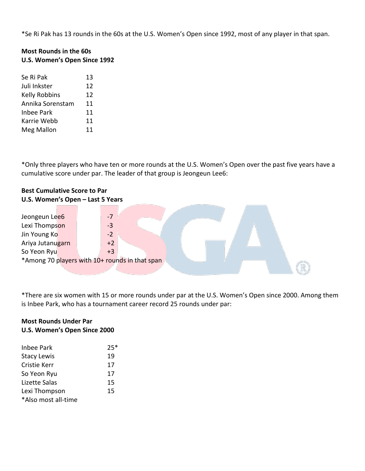\*Se Ri Pak has 13 rounds in the 60s at the U.S. Women's Open since 1992, most of any player in that span.

## **Most Rounds in the 60s U.S. Women's Open Since 1992**

| Se Ri Pak         | 13 |
|-------------------|----|
| Juli Inkster      | 12 |
| Kelly Robbins     | 12 |
| Annika Sorenstam  | 11 |
| <b>Inbee Park</b> | 11 |
| Karrie Webb       | 11 |
| Meg Mallon        | 11 |

\*Only three players who have ten or more rounds at the U.S. Women's Open over the past five years have a cumulative score under par. The leader of that group is Jeongeun Lee6:

## **Best Cumulative Score to Par U.S. Women's Open – Last 5 Years**

| Jeongeun Lee6                                  |  | $-7$ |  |  |  |  |  |
|------------------------------------------------|--|------|--|--|--|--|--|
| Lexi Thompson                                  |  | -3   |  |  |  |  |  |
| Jin Young Ko                                   |  | $-2$ |  |  |  |  |  |
| Ariya Jutanugarn                               |  | $+2$ |  |  |  |  |  |
| So Yeon Ryu                                    |  | $+3$ |  |  |  |  |  |
| *Among 70 players with 10+ rounds in that span |  |      |  |  |  |  |  |
|                                                |  |      |  |  |  |  |  |

\*There are six women with 15 or more rounds under par at the U.S. Women's Open since 2000. Among them is Inbee Park, who has a tournament career record 25 rounds under par:

## **Most Rounds Under Par U.S. Women's Open Since 2000**

| Inbee Park          | $25*$ |
|---------------------|-------|
| <b>Stacy Lewis</b>  | 19    |
| Cristie Kerr        | 17    |
| So Yeon Ryu         | 17    |
| Lizette Salas       | 15    |
| Lexi Thompson       | 15    |
| *Also most all-time |       |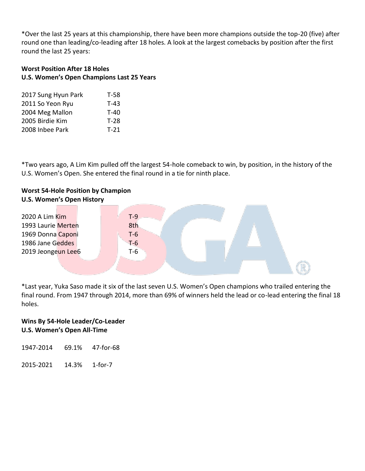\*Over the last 25 years at this championship, there have been more champions outside the top-20 (five) after round one than leading/co-leading after 18 holes. A look at the largest comebacks by position after the first round the last 25 years:

## **Worst Position After 18 Holes U.S. Women's Open Champions Last 25 Years**

| 2017 Sung Hyun Park | T-58   |
|---------------------|--------|
| 2011 So Yeon Ryu    | $T-43$ |
| 2004 Meg Mallon     | T-40   |
| 2005 Birdie Kim     | $T-28$ |
| 2008 Inbee Park     | $T-21$ |

\*Two years ago, A Lim Kim pulled off the largest 54-hole comeback to win, by position, in the history of the U.S. Women's Open. She entered the final round in a tie for ninth place.



\*Last year, Yuka Saso made it six of the last seven U.S. Women's Open champions who trailed entering the final round. From 1947 through 2014, more than 69% of winners held the lead or co-lead entering the final 18 holes.

## **Wins By 54-Hole Leader/Co-Leader U.S. Women's Open All-Time**

1947-2014 69.1% 47-for-68

2015-2021 14.3% 1-for-7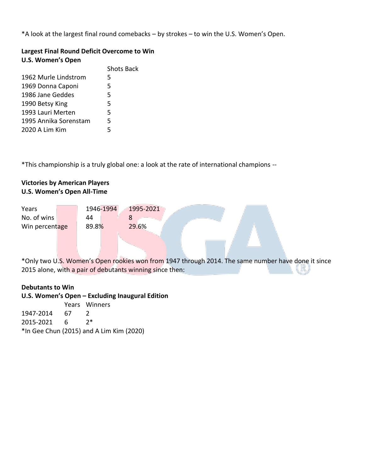\*A look at the largest final round comebacks – by strokes – to win the U.S. Women's Open.

## **Largest Final Round Deficit Overcome to Win U.S. Women's Open**

|                       | <b>Shots Back</b> |
|-----------------------|-------------------|
| 1962 Murle Lindstrom  | 5                 |
| 1969 Donna Caponi     | 5.                |
| 1986 Jane Geddes      | 5                 |
| 1990 Betsy King       | 5                 |
| 1993 Lauri Merten     | 5                 |
| 1995 Annika Sorenstam | 5                 |
| 2020 A Lim Kim        | 5                 |

\*This championship is a truly global one: a look at the rate of international champions --

## **Victories by American Players U.S. Women's Open All-Time**

| Years          |       | 1946-1994 |   | 1995-2021 |  |
|----------------|-------|-----------|---|-----------|--|
| No. of wins    | 44    |           | 8 |           |  |
| Win percentage | 89.8% |           |   | 29.6%     |  |

\*Only two U.S. Women's Open rookies won from 1947 through 2014. The same number have done it since 2015 alone, with a pair of debutants winning since then:

#### **Debutants to Win**

#### **U.S. Women's Open – Excluding Inaugural Edition**

|                                          |      | Years Winners |  |
|------------------------------------------|------|---------------|--|
| 1947-2014                                | - 67 |               |  |
| 2015-2021                                | - 6  | つ*            |  |
| *In Gee Chun (2015) and A Lim Kim (2020) |      |               |  |
|                                          |      |               |  |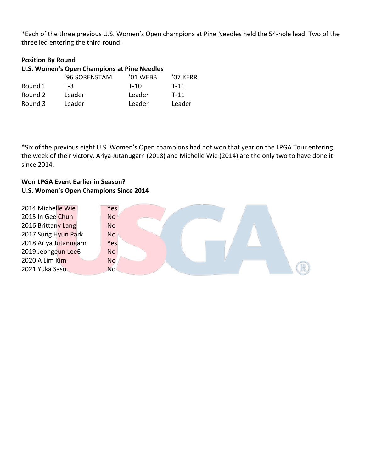\*Each of the three previous U.S. Women's Open champions at Pine Needles held the 54-hole lead. Two of the three led entering the third round:

## **Position By Round**

|         | <b>U.S. Women's Open Champions at Pine Needles</b> |          |          |
|---------|----------------------------------------------------|----------|----------|
|         | '96 SORENSTAM                                      | '01 WEBB | '07 KERR |
| Round 1 | $T-3$                                              | $T-10$   | $T-11$   |
| Round 2 | Leader                                             | Leader   | $T-11$   |
| Round 3 | Leader                                             | Leader   | Leader   |

\*Six of the previous eight U.S. Women's Open champions had not won that year on the LPGA Tour entering the week of their victory. Ariya Jutanugarn (2018) and Michelle Wie (2014) are the only two to have done it since 2014.

## **Won LPGA Event Earlier in Season? U.S. Women's Open Champions Since 2014**

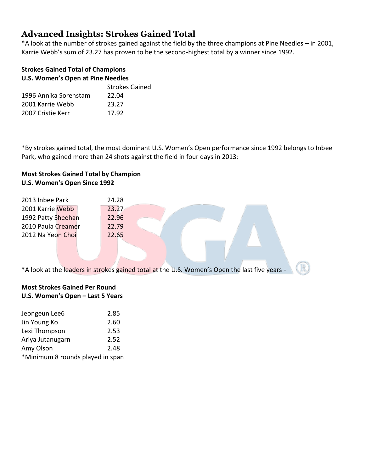# <span id="page-8-0"></span>**Advanced Insights: Strokes Gained Total**

\*A look at the number of strokes gained against the field by the three champions at Pine Needles – in 2001, Karrie Webb's sum of 23.27 has proven to be the second-highest total by a winner since 1992.

## **Strokes Gained Total of Champions U.S. Women's Open at Pine Needles**

| <b>Strokes Gained</b> |
|-----------------------|
| 22.04                 |
| 23.27                 |
| 17.92                 |
|                       |

\*By strokes gained total, the most dominant U.S. Women's Open performance since 1992 belongs to Inbee Park, who gained more than 24 shots against the field in four days in 2013:

## **Most Strokes Gained Total by Champion U.S. Women's Open Since 1992**

| 2013 Inbee Park    | 24.28 |
|--------------------|-------|
| 2001 Karrie Webb   | 23.27 |
| 1992 Patty Sheehan | 22.96 |
| 2010 Paula Creamer | 22.79 |
| 2012 Na Yeon Choi  | 22.65 |
|                    |       |

\*A look at the leaders in strokes gained total at the U.S. Women's Open the last five years -

## **Most Strokes Gained Per Round U.S. Women's Open – Last 5 Years**

| Jeongeun Lee6                    | 2.85 |
|----------------------------------|------|
| Jin Young Ko                     | 2.60 |
| Lexi Thompson                    | 2.53 |
| Ariya Jutanugarn                 | 2.52 |
| Amy Olson                        | 2.48 |
| *Minimum 8 rounds played in span |      |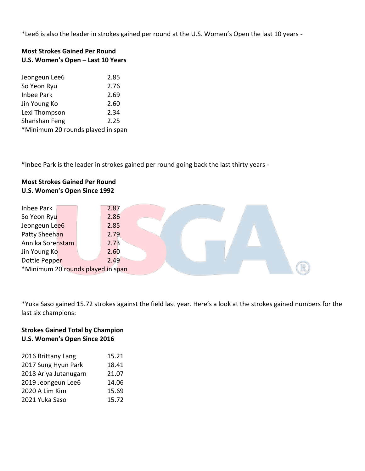\*Lee6 is also the leader in strokes gained per round at the U.S. Women's Open the last 10 years -

# **Most Strokes Gained Per Round U.S. Women's Open – Last 10 Years**

| Jeongeun Lee6                     | 2.85 |
|-----------------------------------|------|
| So Yeon Ryu                       | 2.76 |
| <b>Inbee Park</b>                 | 2.69 |
| Jin Young Ko                      | 2.60 |
| Lexi Thompson                     | 2.34 |
| Shanshan Feng                     | 2.25 |
| *Minimum 20 rounds played in span |      |

\*Inbee Park is the leader in strokes gained per round going back the last thirty years -

## **Most Strokes Gained Per Round U.S. Women's Open Since 1992**

| Inbee Park       | 2.87                              |  |  |  |  |
|------------------|-----------------------------------|--|--|--|--|
| So Yeon Ryu      | 2.86                              |  |  |  |  |
| Jeongeun Lee6    | 2.85                              |  |  |  |  |
| Patty Sheehan    | 2.79                              |  |  |  |  |
| Annika Sorenstam | 2.73                              |  |  |  |  |
| Jin Young Ko     | 2.60                              |  |  |  |  |
| Dottie Pepper    | 2.49                              |  |  |  |  |
|                  | *Minimum 20 rounds played in span |  |  |  |  |

\*Yuka Saso gained 15.72 strokes against the field last year. Here's a look at the strokes gained numbers for the last six champions:

## **Strokes Gained Total by Champion U.S. Women's Open Since 2016**

| 2016 Brittany Lang    | 15.21 |
|-----------------------|-------|
|                       |       |
| 2017 Sung Hyun Park   | 18.41 |
| 2018 Ariya Jutanugarn | 21.07 |
| 2019 Jeongeun Lee6    | 14.06 |
| 2020 A Lim Kim        | 15.69 |
| 2021 Yuka Saso        | 15.72 |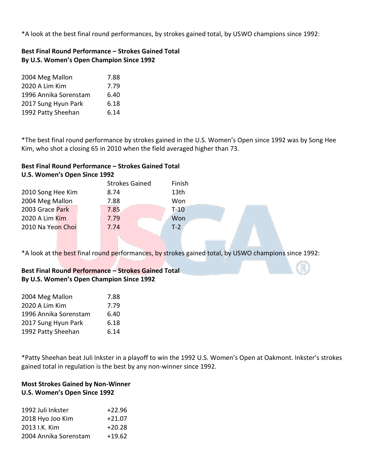\*A look at the best final round performances, by strokes gained total, by USWO champions since 1992:

## **Best Final Round Performance – Strokes Gained Total By U.S. Women's Open Champion Since 1992**

| 2004 Meg Mallon       | 7.88 |
|-----------------------|------|
| 2020 A Lim Kim        | 7.79 |
| 1996 Annika Sorenstam | 6.40 |
| 2017 Sung Hyun Park   | 6.18 |
| 1992 Patty Sheehan    | 6.14 |

\*The best final round performance by strokes gained in the U.S. Women's Open since 1992 was by Song Hee Kim, who shot a closing 65 in 2010 when the field averaged higher than 73.

## **Best Final Round Performance – Strokes Gained Total U.S. Women's Open Since 1992**

|                   |  | <b>Strokes Gained</b> | Finish |
|-------------------|--|-----------------------|--------|
| 2010 Song Hee Kim |  | 8.74                  | 13th   |
| 2004 Meg Mallon   |  | 7.88                  | Won    |
| 2003 Grace Park   |  | 7.85                  | $T-10$ |
| 2020 A Lim Kim    |  | 7.79                  | Won    |
| 2010 Na Yeon Choi |  | 7.74                  | $T-2$  |
|                   |  |                       |        |

\*A look at the best final round performances, by strokes gained total, by USWO champions since 1992:

#### **Best Final Round Performance – Strokes Gained Total By U.S. Women's Open Champion Since 1992**

| 2004 Meg Mallon       | 7.88 |
|-----------------------|------|
| 2020 A Lim Kim        | 7.79 |
| 1996 Annika Sorenstam | 6.40 |
| 2017 Sung Hyun Park   | 6.18 |
| 1992 Patty Sheehan    | 6.14 |
|                       |      |

\*Patty Sheehan beat Juli Inkster in a playoff to win the 1992 U.S. Women's Open at Oakmont. Inkster's strokes gained total in regulation is the best by any non-winner since 1992.

## **Most Strokes Gained by Non-Winner U.S. Women's Open Since 1992**

| 1992 Juli Inkster     | $+22.96$ |
|-----------------------|----------|
| 2018 Hyo Joo Kim      | $+21.07$ |
| 2013 I.K. Kim         | $+20.28$ |
| 2004 Annika Sorenstam | $+19.62$ |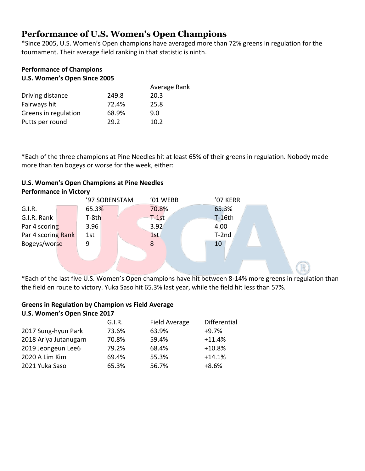# <span id="page-11-0"></span>**Performance of U.S. Women's Open Champions**

\*Since 2005, U.S. Women's Open champions have averaged more than 72% greens in regulation for the tournament. Their average field ranking in that statistic is ninth.

## **Performance of Champions U.S. Women's Open Since 2005**

|                      |       | Average Rank |
|----------------------|-------|--------------|
| Driving distance     | 249.8 | 20.3         |
| Fairways hit         | 72.4% | 25.8         |
| Greens in regulation | 68.9% | 9.0          |
| Putts per round      | 29.2  | 10.2         |

\*Each of the three champions at Pine Needles hit at least 65% of their greens in regulation. Nobody made more than ten bogeys or worse for the week, either:

#### **U.S. Women's Open Champions at Pine Needles Performance in Victory**

| Bogeys/worse       | 9       |               | 8        |  | 10       |  |  |
|--------------------|---------|---------------|----------|--|----------|--|--|
| Par 4 scoring Rank | 1st     |               | 1st      |  | $T-2nd$  |  |  |
| Par 4 scoring      | 3.96    |               | 3.92     |  | 4.00     |  |  |
| G.I.R. Rank        | $T-8th$ |               | $T-1st$  |  | $T-16th$ |  |  |
| G.I.R.             | 65.3%   |               | 70.8%    |  | 65.3%    |  |  |
|                    |         | '97 SORENSTAM | '01 WEBB |  | '07 KERR |  |  |
|                    |         |               |          |  |          |  |  |

\*Each of the last five U.S. Women's Open champions have hit between 8-14% more greens in regulation than the field en route to victory. Yuka Saso hit 65.3% last year, while the field hit less than 57%.

#### **Greens in Regulation by Champion vs Field Average U.S. Women's Open Since 2017**

|                       | G.I.R. | <b>Field Average</b> | Differential |
|-----------------------|--------|----------------------|--------------|
| 2017 Sung-hyun Park   | 73.6%  | 63.9%                | $+9.7%$      |
| 2018 Ariya Jutanugarn | 70.8%  | 59.4%                | $+11.4%$     |
| 2019 Jeongeun Lee6    | 79.2%  | 68.4%                | $+10.8%$     |
| 2020 A Lim Kim        | 69.4%  | 55.3%                | $+14.1%$     |
| 2021 Yuka Saso        | 65.3%  | 56.7%                | $+8.6%$      |
|                       |        |                      |              |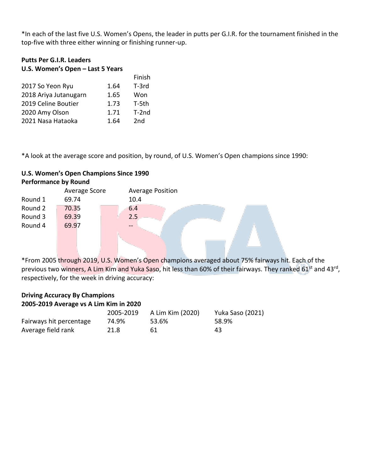\*In each of the last five U.S. Women's Opens, the leader in putts per G.I.R. for the tournament finished in the top-five with three either winning or finishing runner-up.

## **Putts Per G.I.R. Leaders U.S. Women's Open – Last 5 Years**

|                       |      | Finish  |
|-----------------------|------|---------|
| 2017 So Yeon Ryu      | 1.64 | $T-3rd$ |
| 2018 Ariya Jutanugarn | 1.65 | Won     |
| 2019 Celine Boutier   | 1.73 | T-5th   |
| 2020 Amy Olson        | 1.71 | $T-2nd$ |
| 2021 Nasa Hataoka     | 1.64 | 2nd     |

\*A look at the average score and position, by round, of U.S. Women's Open champions since 1990:

## **U.S. Women's Open Champions Since 1990 Performance by Round**

|         | Average Score | <b>Average Position</b> |
|---------|---------------|-------------------------|
| Round 1 | 69.74         | 10.4                    |
| Round 2 | 70.35         | 6.4                     |
| Round 3 | 69.39         | 2.5                     |
| Round 4 | 69.97         |                         |
|         |               |                         |
|         |               |                         |

\*From 2005 through 2019, U.S. Women's Open champions averaged about 75% fairways hit. Each of the previous two winners, A Lim Kim and Yuka Saso, hit less than 60% of their fairways. They ranked 61<sup>st</sup> and 43<sup>rd</sup>, respectively, for the week in driving accuracy:

| <b>Driving Accuracy By Champions</b>   |           |                  |                         |  |  |  |  |
|----------------------------------------|-----------|------------------|-------------------------|--|--|--|--|
| 2005-2019 Average vs A Lim Kim in 2020 |           |                  |                         |  |  |  |  |
|                                        | 2005-2019 | A Lim Kim (2020) | <b>Yuka Saso (2021)</b> |  |  |  |  |
| Fairways hit percentage                | 74.9%     | 53.6%            | 58.9%                   |  |  |  |  |
| Average field rank                     | 21.8      | 61               | 43                      |  |  |  |  |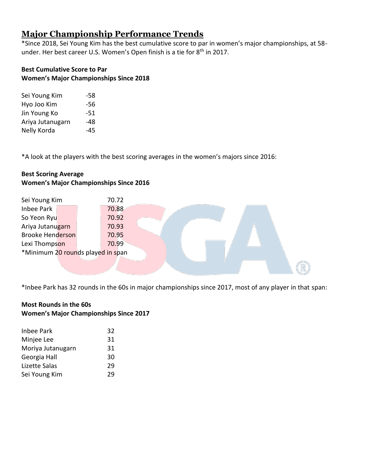# <span id="page-13-0"></span>**Major Championship Performance Trends**

\*Since 2018, Sei Young Kim has the best cumulative score to par in women's major championships, at 58 under. Her best career U.S. Women's Open finish is a tie for 8<sup>th</sup> in 2017.

## **Best Cumulative Score to Par Women's Major Championships Since 2018**

| -58   |
|-------|
| -56   |
| -51   |
| -48   |
| $-45$ |
|       |

\*A look at the players with the best scoring averages in the women's majors since 2016:

## **Best Scoring Average Women's Major Championships Since 2016**

| Sei Young Kim                     |  | 70.72 |  |  |  |  |  |
|-----------------------------------|--|-------|--|--|--|--|--|
| <b>Inbee Park</b>                 |  | 70.88 |  |  |  |  |  |
| So Yeon Ryu                       |  | 70.92 |  |  |  |  |  |
| Ariya Jutanugarn                  |  | 70.93 |  |  |  |  |  |
| <b>Brooke Henderson</b>           |  | 70.95 |  |  |  |  |  |
| Lexi Thompson                     |  | 70.99 |  |  |  |  |  |
| *Minimum 20 rounds played in span |  |       |  |  |  |  |  |
|                                   |  |       |  |  |  |  |  |
|                                   |  |       |  |  |  |  |  |

\*Inbee Park has 32 rounds in the 60s in major championships since 2017, most of any player in that span:

## **Most Rounds in the 60s Women's Major Championships Since 2017**

| <b>Inbee Park</b> | 32 |
|-------------------|----|
| Minjee Lee        | 31 |
| Moriya Jutanugarn | 31 |
| Georgia Hall      | 30 |
| Lizette Salas     | 29 |
| Sei Young Kim     | 29 |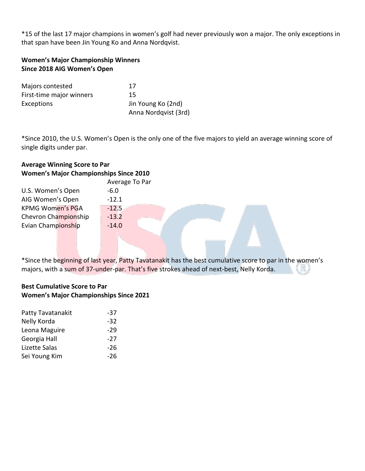\*15 of the last 17 major champions in women's golf had never previously won a major. The only exceptions in that span have been Jin Young Ko and Anna Nordqvist.

## **Women's Major Championship Winners Since 2018 AIG Women's Open**

| Majors contested         | 17                   |
|--------------------------|----------------------|
| First-time major winners | 15                   |
| Exceptions               | Jin Young Ko (2nd)   |
|                          | Anna Nordqvist (3rd) |

\*Since 2010, the U.S. Women's Open is the only one of the five majors to yield an average winning score of single digits under par.

## **Average Winning Score to Par Women's Major Championships Since 2010**

|                         | Average To Par |
|-------------------------|----------------|
| U.S. Women's Open       | $-6.0$         |
| AIG Women's Open        | $-12.1$        |
| <b>KPMG Women's PGA</b> | $-12.5$        |
| Chevron Championship    | $-13.2$        |
| Evian Championship      | $-14.0$        |
|                         |                |

\*Since the beginning of last year, Patty Tavatanakit has the best cumulative score to par in the women's majors, with a sum of 37-under-par. That's five strokes ahead of next-best, Nelly Korda.

## **Best Cumulative Score to Par Women's Major Championships Since 2021**

| Patty Tavatanakit | -37   |
|-------------------|-------|
| Nelly Korda       | $-32$ |
| Leona Maguire     | $-29$ |
| Georgia Hall      | $-27$ |
| Lizette Salas     | -26   |
| Sei Young Kim     | -26   |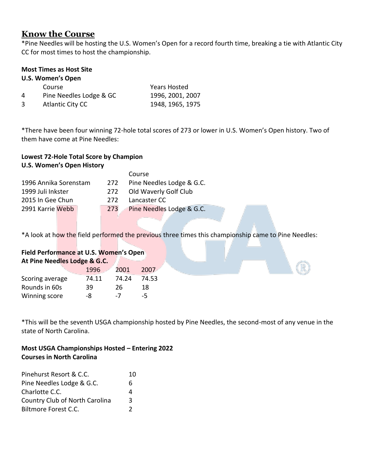# <span id="page-15-0"></span>**Know the Course**

\*Pine Needles will be hosting the U.S. Women's Open for a record fourth time, breaking a tie with Atlantic City CC for most times to host the championship.

## **Most Times as Host Site**

#### **U.S. Women's Open**

|   | Course                  | <b>Years Hosted</b> |
|---|-------------------------|---------------------|
| 4 | Pine Needles Lodge & GC | 1996, 2001, 2007    |
| 3 | Atlantic City CC        | 1948, 1965, 1975    |

\*There have been four winning 72-hole total scores of 273 or lower in U.S. Women's Open history. Two of them have come at Pine Needles:

## **Lowest 72-Hole Total Score by Champion U.S. Women's Open History**

|                       |     | Course                    |
|-----------------------|-----|---------------------------|
| 1996 Annika Sorenstam | 272 | Pine Needles Lodge & G.C. |
| 1999 Juli Inkster     | 272 | Old Waverly Golf Club     |
| 2015 In Gee Chun      | 272 | Lancaster CC              |
| 2991 Karrie Webb      | 273 | Pine Needles Lodge & G.C. |
|                       |     |                           |

\*A look at how the field performed the previous three times this championship came to Pine Needles:

# **Field Performance at U.S. Women's Open**

| At Pine Needles Lodge & G.C. |       |       |       |  |  |
|------------------------------|-------|-------|-------|--|--|
|                              | 1996  | 2001  | 2007  |  |  |
| Scoring average              | 74.11 | 74.24 | 74.53 |  |  |
| Rounds in 60s                | 39    | 26    | 18    |  |  |
| Winning score                | -8    | $-7$  | -5    |  |  |

\*This will be the seventh USGA championship hosted by Pine Needles, the second-most of any venue in the state of North Carolina.

## **Most USGA Championships Hosted – Entering 2022 Courses in North Carolina**

| Pinehurst Resort & C.C.        | 10 |
|--------------------------------|----|
| Pine Needles Lodge & G.C.      | 6  |
| Charlotte C.C.                 |    |
| Country Club of North Carolina | 3  |
| <b>Biltmore Forest C.C.</b>    |    |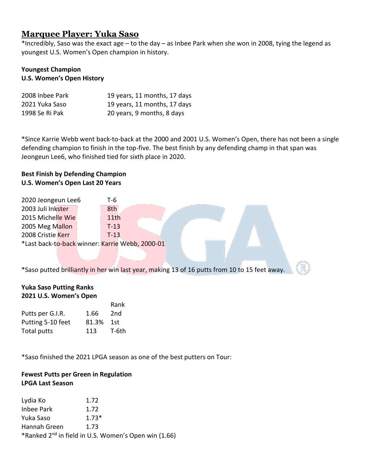# <span id="page-16-0"></span>**Marquee Player: Yuka Saso**

\*Incredibly, Saso was the exact age – to the day – as Inbee Park when she won in 2008, tying the legend as youngest U.S. Women's Open champion in history.

#### **Youngest Champion U.S. Women's Open History**

| 2008 Inbee Park | 19 years, 11 months, 17 days |
|-----------------|------------------------------|
| 2021 Yuka Saso  | 19 years, 11 months, 17 days |
| 1998 Se Ri Pak  | 20 years, 9 months, 8 days   |

\*Since Karrie Webb went back-to-back at the 2000 and 2001 U.S. Women's Open, there has not been a single defending champion to finish in the top-five. The best finish by any defending champ in that span was Jeongeun Lee6, who finished tied for sixth place in 2020.

## **Best Finish by Defending Champion U.S. Women's Open Last 20 Years**

| 2020 Jeongeun Lee6                              |  | T-6    |  |
|-------------------------------------------------|--|--------|--|
| 2003 Juli Inkster                               |  | 8th    |  |
| 2015 Michelle Wie                               |  | 11th   |  |
| 2005 Meg Mallon                                 |  | $T-13$ |  |
| 2008 Cristie Kerr                               |  | $T-13$ |  |
| *Last back-to-back winner: Karrie Webb, 2000-01 |  |        |  |

\*Saso putted brilliantly in her win last year, making 13 of 16 putts from 10 to 15 feet away.

#### **Yuka Saso Putting Ranks 2021 U.S. Women's Open**

|                   |       | Rank            |
|-------------------|-------|-----------------|
| Putts per G.I.R.  | 1.66  | 2 <sub>nd</sub> |
| Putting 5-10 feet | 81.3% | 1st             |
| Total putts       | 113   | T-6th           |

\*Saso finished the 2021 LPGA season as one of the best putters on Tour:

## **Fewest Putts per Green in Regulation LPGA Last Season**

Lydia Ko 1.72 Inbee Park 1.72 Yuka Saso 1.73\* Hannah Green 1.73 \*Ranked 2nd in field in U.S. Women's Open win (1.66)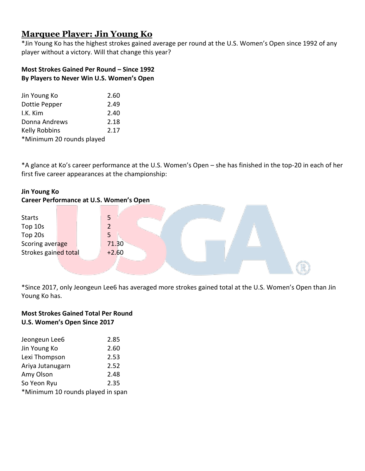# <span id="page-17-0"></span>**Marquee Player: Jin Young Ko**

\*Jin Young Ko has the highest strokes gained average per round at the U.S. Women's Open since 1992 of any player without a victory. Will that change this year?

## **Most Strokes Gained Per Round – Since 1992 By Players to Never Win U.S. Women's Open**

| Jin Young Ko              | 2.60 |
|---------------------------|------|
| Dottie Pepper             | 2.49 |
| I.K. Kim                  | 2.40 |
| Donna Andrews             | 2.18 |
| Kelly Robbins             | 2.17 |
| *Minimum 20 rounds played |      |

\*A glance at Ko's career performance at the U.S. Women's Open – she has finished in the top-20 in each of her first five career appearances at the championship:

## **Jin Young Ko**



\*Since 2017, only Jeongeun Lee6 has averaged more strokes gained total at the U.S. Women's Open than Jin Young Ko has.

## **Most Strokes Gained Total Per Round U.S. Women's Open Since 2017**

| Jeongeun Lee6                     | 2.85 |
|-----------------------------------|------|
| Jin Young Ko                      | 2.60 |
| Lexi Thompson                     | 2.53 |
| Ariya Jutanugarn                  | 2.52 |
| Amy Olson                         | 2.48 |
| So Yeon Ryu                       | 2.35 |
| *Minimum 10 rounds played in span |      |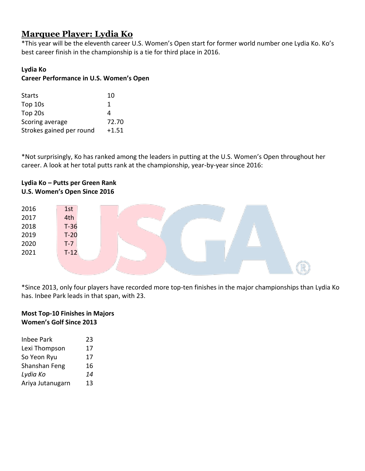# <span id="page-18-0"></span>**Marquee Player: Lydia Ko**

\*This year will be the eleventh career U.S. Women's Open start for former world number one Lydia Ko. Ko's best career finish in the championship is a tie for third place in 2016.

## **Lydia Ko**

## **Career Performance in U.S. Women's Open**

| <b>Starts</b>            | 10      |
|--------------------------|---------|
| Top 10s                  | 1       |
| Top 20s                  | Δ       |
| Scoring average          | 72.70   |
| Strokes gained per round | $+1.51$ |

\*Not surprisingly, Ko has ranked among the leaders in putting at the U.S. Women's Open throughout her career. A look at her total putts rank at the championship, year-by-year since 2016:

## **Lydia Ko – Putts per Green Rank U.S. Women's Open Since 2016**

| 2016 | 1st    |  |  |  |
|------|--------|--|--|--|
| 2017 | 4th    |  |  |  |
| 2018 | $T-36$ |  |  |  |
| 2019 | $T-20$ |  |  |  |
| 2020 | $T-7$  |  |  |  |
| 2021 | $T-12$ |  |  |  |
|      |        |  |  |  |
|      |        |  |  |  |

\*Since 2013, only four players have recorded more top-ten finishes in the major championships than Lydia Ko has. Inbee Park leads in that span, with 23.

## **Most Top-10 Finishes in Majors Women's Golf Since 2013**

| <b>Inbee Park</b> | 23 |
|-------------------|----|
| Lexi Thompson     | 17 |
| So Yeon Ryu       | 17 |
| Shanshan Feng     | 16 |
| Lydia Ko          | 14 |
| Ariya Jutanugarn  | 13 |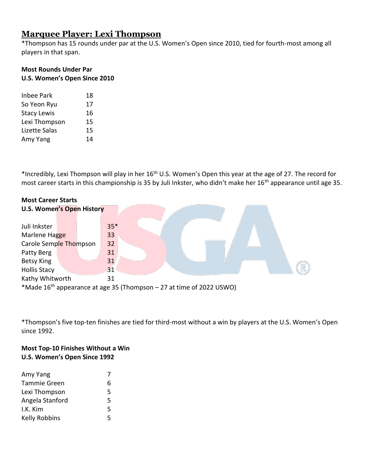# <span id="page-19-0"></span>**Marquee Player: Lexi Thompson**

\*Thompson has 15 rounds under par at the U.S. Women's Open since 2010, tied for fourth-most among all players in that span.

## **Most Rounds Under Par U.S. Women's Open Since 2010**

| Inbee Park         | 18 |
|--------------------|----|
| So Yeon Ryu        | 17 |
| <b>Stacy Lewis</b> | 16 |
| Lexi Thompson      | 15 |
| Lizette Salas      | 15 |
| Amy Yang           | 14 |

\*Incredibly, Lexi Thompson will play in her 16th U.S. Women's Open this year at the age of 27. The record for most career starts in this championship is 35 by Juli Inkster, who didn't make her 16<sup>th</sup> appearance until age 35.

| <b>Most Career Starts</b>                                                        |  |  |       |  |  |
|----------------------------------------------------------------------------------|--|--|-------|--|--|
| <b>U.S. Women's Open History</b>                                                 |  |  |       |  |  |
|                                                                                  |  |  |       |  |  |
| Juli Inkster                                                                     |  |  | $35*$ |  |  |
| Marlene Hagge                                                                    |  |  | 33    |  |  |
| Carole Semple Thompson                                                           |  |  | 32    |  |  |
| Patty Berg                                                                       |  |  | 31    |  |  |
| Betsy King                                                                       |  |  | 31    |  |  |
| <b>Hollis Stacy</b>                                                              |  |  | 31    |  |  |
| Kathy Whitworth                                                                  |  |  | 31    |  |  |
| *Made 16 <sup>th</sup> appearance at age 35 (Thompson – 27 at time of 2022 USWO) |  |  |       |  |  |

\*Thompson's five top-ten finishes are tied for third-most without a win by players at the U.S. Women's Open since 1992.

## **Most Top-10 Finishes Without a Win U.S. Women's Open Since 1992**

| Amy Yang            | $\prime$ |
|---------------------|----------|
| <b>Tammie Green</b> | 6        |
| Lexi Thompson       | 5        |
| Angela Stanford     | 5        |
| I.K. Kim            | 5        |
| Kelly Robbins       | 5        |